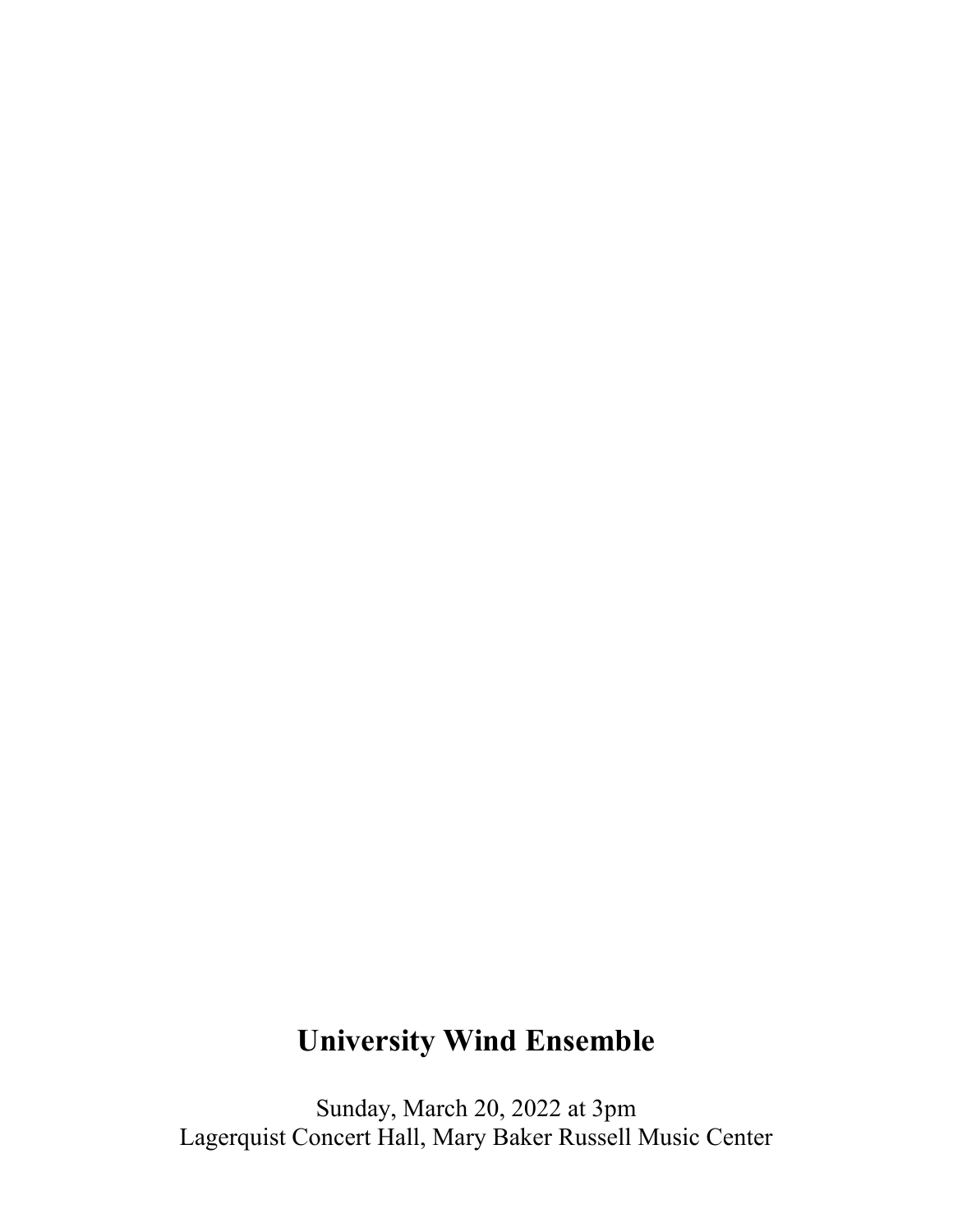# **University Wind Ensemble**

Sunday, March 20, 2022 at 3pm Lagerquist Concert Hall, Mary Baker Russell Music Center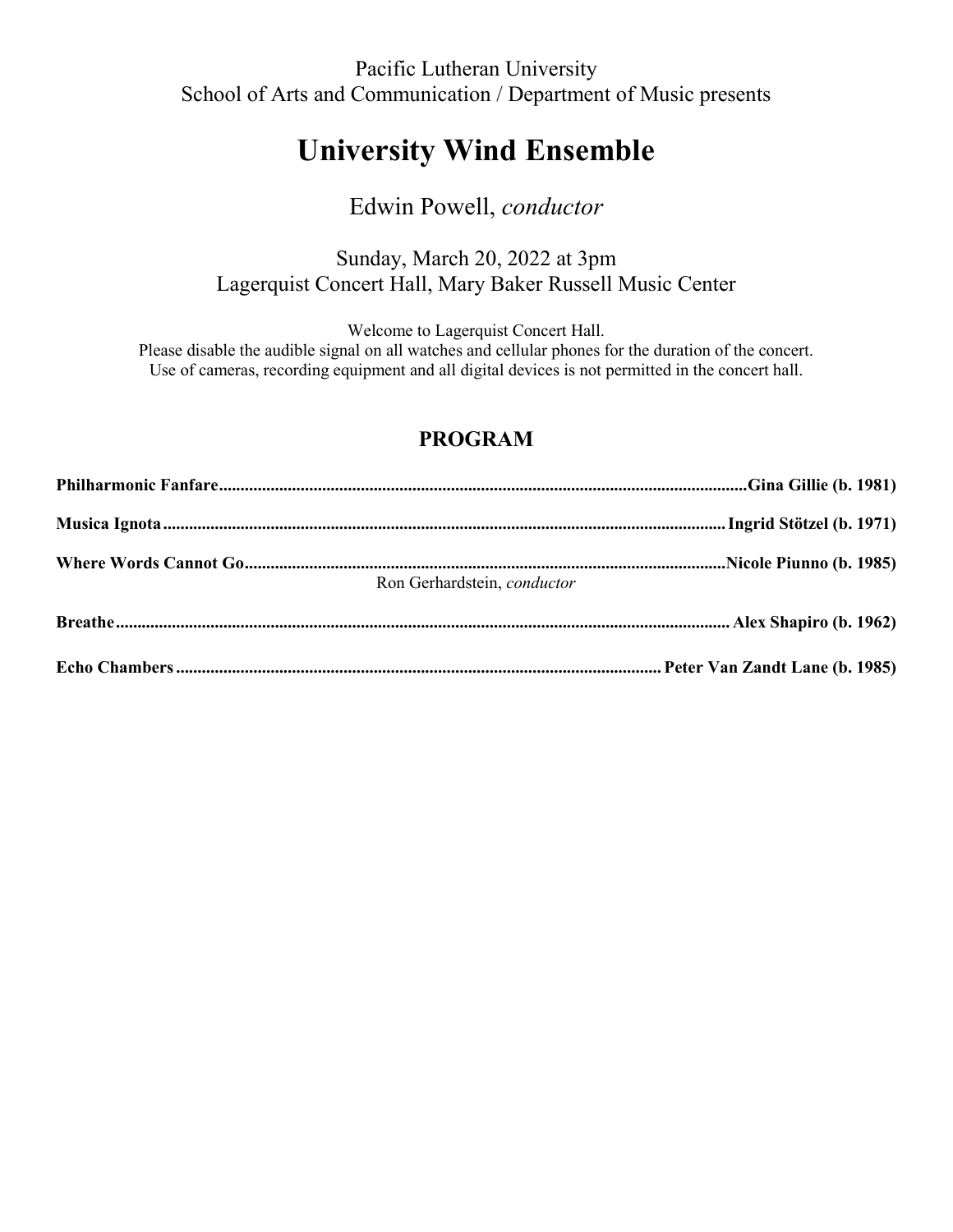Pacific Lutheran University School of Arts and Communication / Department of Music presents

# **University Wind Ensemble**

## Edwin Powell, *conductor*

### Sunday, March 20, 2022 at 3pm Lagerquist Concert Hall, Mary Baker Russell Music Center

Welcome to Lagerquist Concert Hall.

Please disable the audible signal on all watches and cellular phones for the duration of the concert. Use of cameras, recording equipment and all digital devices is not permitted in the concert hall.

## **PROGRAM**

| Ron Gerhardstein, conductor |  |
|-----------------------------|--|
|                             |  |
|                             |  |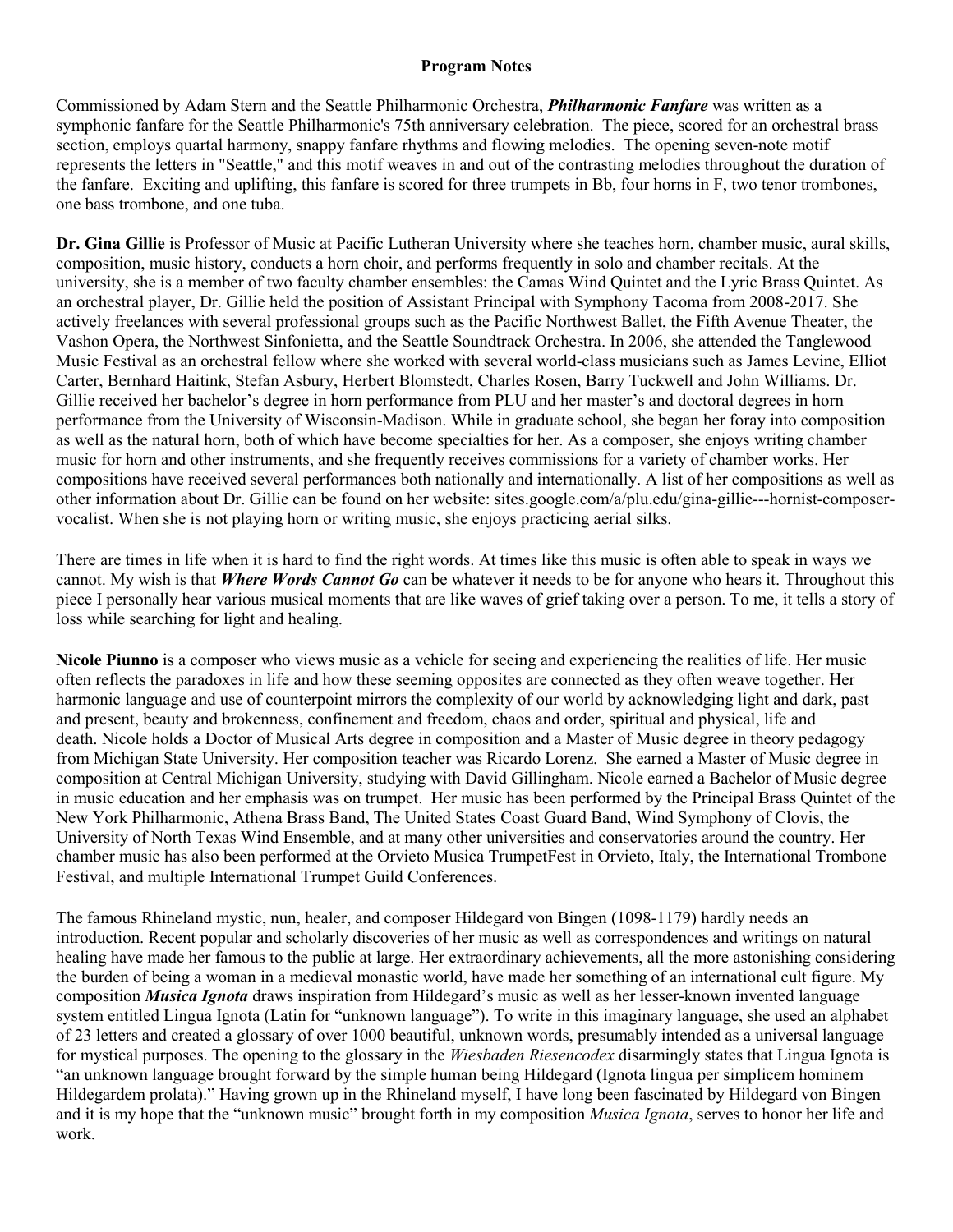#### **Program Notes**

Commissioned by Adam Stern and the Seattle Philharmonic Orchestra, *Philharmonic Fanfare* was written as a symphonic fanfare for the Seattle Philharmonic's 75th anniversary celebration. The piece, scored for an orchestral brass section, employs quartal harmony, snappy fanfare rhythms and flowing melodies. The opening seven-note motif represents the letters in "Seattle," and this motif weaves in and out of the contrasting melodies throughout the duration of the fanfare. Exciting and uplifting, this fanfare is scored for three trumpets in Bb, four horns in F, two tenor trombones, one bass trombone, and one tuba.

**Dr. Gina Gillie** is Professor of Music at Pacific Lutheran University where she teaches horn, chamber music, aural skills, composition, music history, conducts a horn choir, and performs frequently in solo and chamber recitals. At the university, she is a member of two faculty chamber ensembles: the Camas Wind Quintet and the Lyric Brass Quintet. As an orchestral player, Dr. Gillie held the position of Assistant Principal with Symphony Tacoma from 2008-2017. She actively freelances with several professional groups such as the Pacific Northwest Ballet, the Fifth Avenue Theater, the Vashon Opera, the Northwest Sinfonietta, and the Seattle Soundtrack Orchestra. In 2006, she attended the Tanglewood Music Festival as an orchestral fellow where she worked with several world-class musicians such as James Levine, Elliot Carter, Bernhard Haitink, Stefan Asbury, Herbert Blomstedt, Charles Rosen, Barry Tuckwell and John Williams. Dr. Gillie received her bachelor's degree in horn performance from PLU and her master's and doctoral degrees in horn performance from the University of Wisconsin-Madison. While in graduate school, she began her foray into composition as well as the natural horn, both of which have become specialties for her. As a composer, she enjoys writing chamber music for horn and other instruments, and she frequently receives commissions for a variety of chamber works. Her compositions have received several performances both nationally and internationally. A list of her compositions as well as other information about Dr. Gillie can be found on her website: sites.google.com/a/plu.edu/gina-gillie---hornist-composervocalist. When she is not playing horn or writing music, she enjoys practicing aerial silks.

There are times in life when it is hard to find the right words. At times like this music is often able to speak in ways we cannot. My wish is that *Where Words Cannot Go* can be whatever it needs to be for anyone who hears it. Throughout this piece I personally hear various musical moments that are like waves of grief taking over a person. To me, it tells a story of loss while searching for light and healing.

**Nicole Piunno** is a composer who views music as a vehicle for seeing and experiencing the realities of life. Her music often reflects the paradoxes in life and how these seeming opposites are connected as they often weave together. Her harmonic language and use of counterpoint mirrors the complexity of our world by acknowledging light and dark, past and present, beauty and brokenness, confinement and freedom, chaos and order, spiritual and physical, life and death. Nicole holds a Doctor of Musical Arts degree in composition and a Master of Music degree in theory pedagogy from Michigan State University. Her composition teacher was Ricardo Lorenz. She earned a Master of Music degree in composition at Central Michigan University, studying with David Gillingham. Nicole earned a Bachelor of Music degree in music education and her emphasis was on trumpet. Her music has been performed by the Principal Brass Quintet of the New York Philharmonic, Athena Brass Band, The United States Coast Guard Band, Wind Symphony of Clovis, the University of North Texas Wind Ensemble, and at many other universities and conservatories around the country. Her chamber music has also been performed at the Orvieto Musica TrumpetFest in Orvieto, Italy, the International Trombone Festival, and multiple International Trumpet Guild Conferences.

The famous Rhineland mystic, nun, healer, and composer Hildegard von Bingen (1098-1179) hardly needs an introduction. Recent popular and scholarly discoveries of her music as well as correspondences and writings on natural healing have made her famous to the public at large. Her extraordinary achievements, all the more astonishing considering the burden of being a woman in a medieval monastic world, have made her something of an international cult figure. My composition *Musica Ignota* draws inspiration from Hildegard's music as well as her lesser-known invented language system entitled Lingua Ignota (Latin for "unknown language"). To write in this imaginary language, she used an alphabet of 23 letters and created a glossary of over 1000 beautiful, unknown words, presumably intended as a universal language for mystical purposes. The opening to the glossary in the *Wiesbaden Riesencodex* disarmingly states that Lingua Ignota is "an unknown language brought forward by the simple human being Hildegard (Ignota lingua per simplicem hominem Hildegardem prolata)." Having grown up in the Rhineland myself, I have long been fascinated by Hildegard von Bingen and it is my hope that the "unknown music" brought forth in my composition *Musica Ignota*, serves to honor her life and work.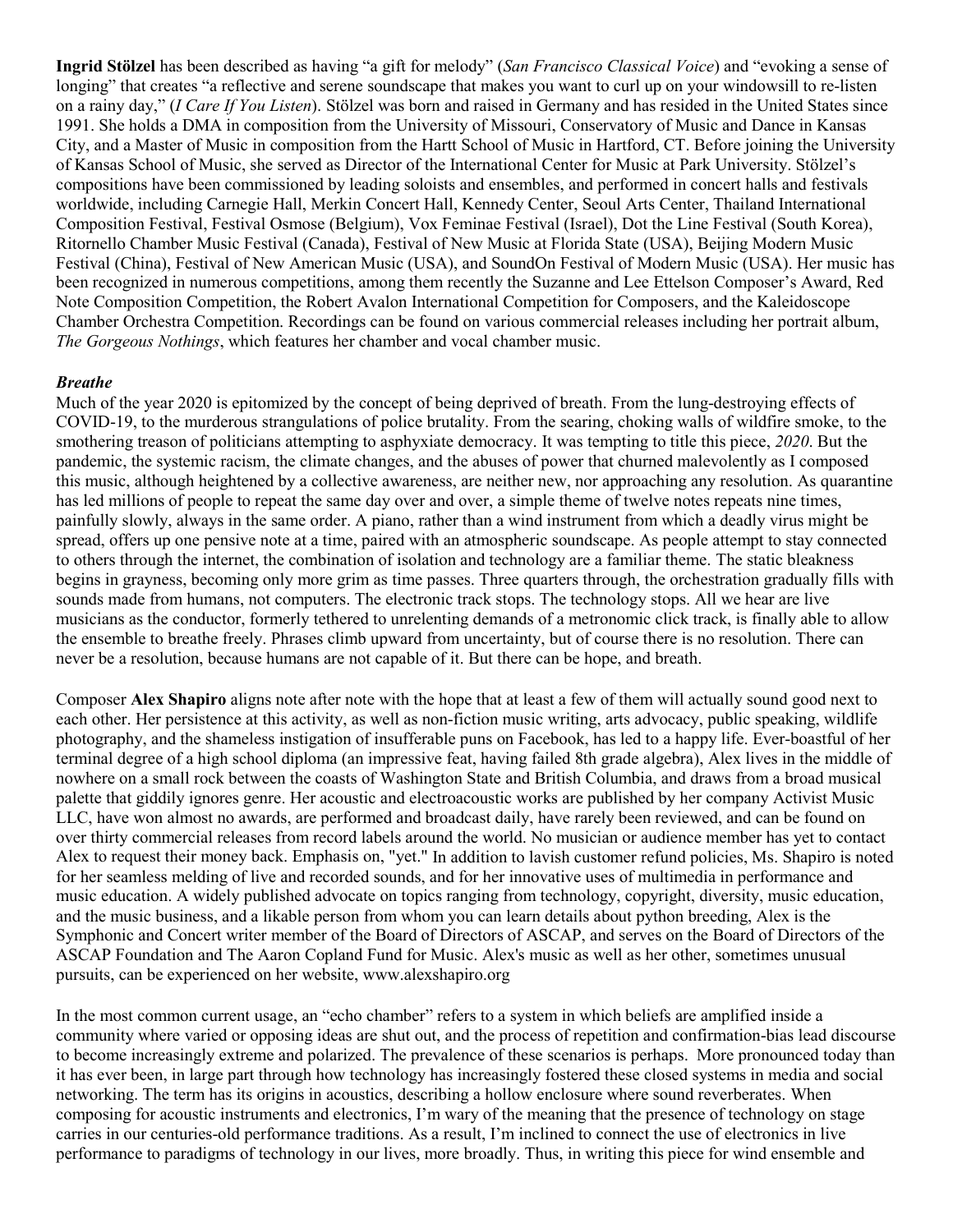**Ingrid Stölzel** has been described as having "a gift for melody" (*San Francisco Classical Voice*) and "evoking a sense of longing" that creates "a reflective and serene soundscape that makes you want to curl up on your windowsill to re-listen on a rainy day," (*I Care If You Listen*). Stölzel was born and raised in Germany and has resided in the United States since 1991. She holds a DMA in composition from the University of Missouri, Conservatory of Music and Dance in Kansas City, and a Master of Music in composition from the Hartt School of Music in Hartford, CT. Before joining the University of Kansas School of Music, she served as Director of the International Center for Music at Park University. Stölzel's compositions have been commissioned by leading soloists and ensembles, and performed in concert halls and festivals worldwide, including Carnegie Hall, Merkin Concert Hall, Kennedy Center, Seoul Arts Center, Thailand International Composition Festival, Festival Osmose (Belgium), Vox Feminae Festival (Israel), Dot the Line Festival (South Korea), Ritornello Chamber Music Festival (Canada), Festival of New Music at Florida State (USA), Beijing Modern Music Festival (China), Festival of New American Music (USA), and SoundOn Festival of Modern Music (USA). Her music has been recognized in numerous competitions, among them recently the Suzanne and Lee Ettelson Composer's Award, Red Note Composition Competition, the Robert Avalon International Competition for Composers, and the Kaleidoscope Chamber Orchestra Competition. Recordings can be found on various commercial releases including her portrait album, *The Gorgeous Nothings*, which features her chamber and vocal chamber music.

#### *Breathe*

Much of the year 2020 is epitomized by the concept of being deprived of breath. From the lung-destroying effects of COVID-19, to the murderous strangulations of police brutality. From the searing, choking walls of wildfire smoke, to the smothering treason of politicians attempting to asphyxiate democracy. It was tempting to title this piece, *2020*. But the pandemic, the systemic racism, the climate changes, and the abuses of power that churned malevolently as I composed this music, although heightened by a collective awareness, are neither new, nor approaching any resolution. As quarantine has led millions of people to repeat the same day over and over, a simple theme of twelve notes repeats nine times, painfully slowly, always in the same order. A piano, rather than a wind instrument from which a deadly virus might be spread, offers up one pensive note at a time, paired with an atmospheric soundscape. As people attempt to stay connected to others through the internet, the combination of isolation and technology are a familiar theme. The static bleakness begins in grayness, becoming only more grim as time passes. Three quarters through, the orchestration gradually fills with sounds made from humans, not computers. The electronic track stops. The technology stops. All we hear are live musicians as the conductor, formerly tethered to unrelenting demands of a metronomic click track, is finally able to allow the ensemble to breathe freely. Phrases climb upward from uncertainty, but of course there is no resolution. There can never be a resolution, because humans are not capable of it. But there can be hope, and breath.

Composer **Alex Shapiro** aligns note after note with the hope that at least a few of them will actually sound good next to each other. Her persistence at this activity, as well as non-fiction music writing, arts advocacy, public speaking, wildlife photography, and the shameless instigation of insufferable puns on Facebook, has led to a happy life. Ever-boastful of her terminal degree of a high school diploma (an impressive feat, having failed 8th grade algebra), Alex lives in the middle of nowhere on a small rock between the coasts of Washington State and British Columbia, and draws from a broad musical palette that giddily ignores genre. Her acoustic and electroacoustic works are published by her company Activist Music LLC, have won almost no awards, are performed and broadcast daily, have rarely been reviewed, and can be found on over thirty commercial releases from record labels around the world. No musician or audience member has yet to contact Alex to request their money back. Emphasis on, "yet." In addition to lavish customer refund policies, Ms. Shapiro is noted for her seamless melding of live and recorded sounds, and for her innovative uses of multimedia in performance and music education. A widely published advocate on topics ranging from technology, copyright, diversity, music education, and the music business, and a likable person from whom you can learn details about python breeding, Alex is the Symphonic and Concert writer member of the Board of Directors of ASCAP, and serves on the Board of Directors of the ASCAP Foundation and The Aaron Copland Fund for Music. Alex's music as well as her other, sometimes unusual pursuits, can be experienced on her website, www.alexshapiro.org

In the most common current usage, an "echo chamber" refers to a system in which beliefs are amplified inside a community where varied or opposing ideas are shut out, and the process of repetition and confirmation-bias lead discourse to become increasingly extreme and polarized. The prevalence of these scenarios is perhaps. More pronounced today than it has ever been, in large part through how technology has increasingly fostered these closed systems in media and social networking. The term has its origins in acoustics, describing a hollow enclosure where sound reverberates. When composing for acoustic instruments and electronics, I'm wary of the meaning that the presence of technology on stage carries in our centuries-old performance traditions. As a result, I'm inclined to connect the use of electronics in live performance to paradigms of technology in our lives, more broadly. Thus, in writing this piece for wind ensemble and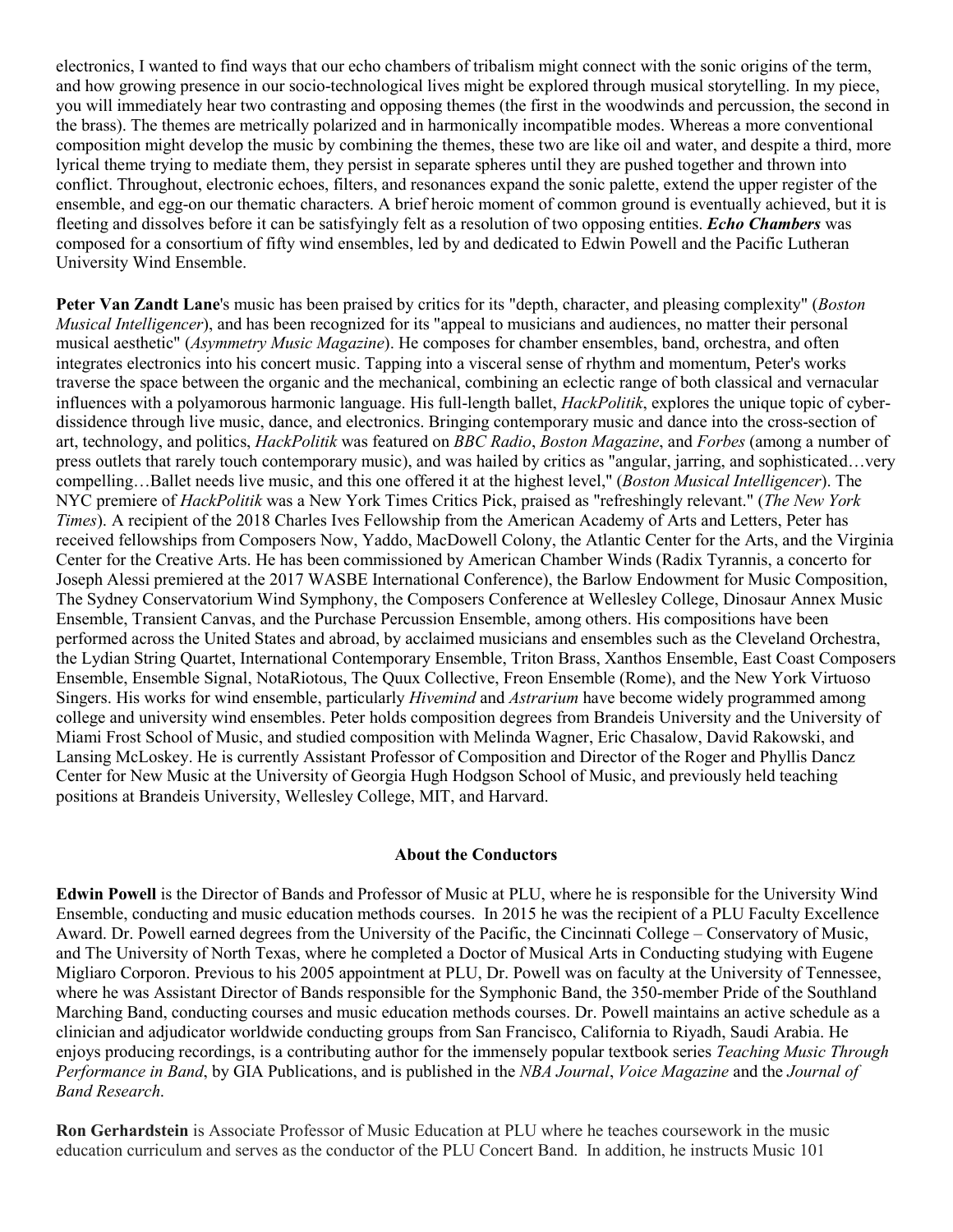electronics, I wanted to find ways that our echo chambers of tribalism might connect with the sonic origins of the term, and how growing presence in our socio-technological lives might be explored through musical storytelling. In my piece, you will immediately hear two contrasting and opposing themes (the first in the woodwinds and percussion, the second in the brass). The themes are metrically polarized and in harmonically incompatible modes. Whereas a more conventional composition might develop the music by combining the themes, these two are like oil and water, and despite a third, more lyrical theme trying to mediate them, they persist in separate spheres until they are pushed together and thrown into conflict. Throughout, electronic echoes, filters, and resonances expand the sonic palette, extend the upper register of the ensemble, and egg-on our thematic characters. A brief heroic moment of common ground is eventually achieved, but it is fleeting and dissolves before it can be satisfyingly felt as a resolution of two opposing entities. *Echo Chambers* was composed for a consortium of fifty wind ensembles, led by and dedicated to Edwin Powell and the Pacific Lutheran University Wind Ensemble.

**Peter Van Zandt Lane**'s music has been praised by critics for its "depth, character, and pleasing complexity" (*Boston Musical Intelligencer*), and has been recognized for its "appeal to musicians and audiences, no matter their personal musical aesthetic" (*Asymmetry Music Magazine*). He composes for chamber ensembles, band, orchestra, and often integrates electronics into his concert music. Tapping into a visceral sense of rhythm and momentum, Peter's works traverse the space between the organic and the mechanical, combining an eclectic range of both classical and vernacular influences with a polyamorous harmonic language. His full-length ballet, *HackPolitik*, explores the unique topic of cyberdissidence through live music, dance, and electronics. Bringing contemporary music and dance into the cross-section of art, technology, and politics, *HackPolitik* was featured on *BBC Radio*, *Boston Magazine*, and *Forbes* (among a number of press outlets that rarely touch contemporary music), and was hailed by critics as "angular, jarring, and sophisticated…very compelling…Ballet needs live music, and this one offered it at the highest level," (*Boston Musical Intelligencer*). The NYC premiere of *HackPolitik* was a New York Times Critics Pick, praised as "refreshingly relevant." (*The New York Times*). A recipient of the 2018 Charles Ives Fellowship from the American Academy of Arts and Letters, Peter has received fellowships from Composers Now, Yaddo, MacDowell Colony, the Atlantic Center for the Arts, and the Virginia Center for the Creative Arts. He has been commissioned by American Chamber Winds (Radix Tyrannis, a concerto for Joseph Alessi premiered at the 2017 WASBE International Conference), the Barlow Endowment for Music Composition, The Sydney Conservatorium Wind Symphony, the Composers Conference at Wellesley College, Dinosaur Annex Music Ensemble, Transient Canvas, and the Purchase Percussion Ensemble, among others. His compositions have been performed across the United States and abroad, by acclaimed musicians and ensembles such as the Cleveland Orchestra, the Lydian String Quartet, International Contemporary Ensemble, Triton Brass, Xanthos Ensemble, East Coast Composers Ensemble, Ensemble Signal, NotaRiotous, The Quux Collective, Freon Ensemble (Rome), and the New York Virtuoso Singers. His works for wind ensemble, particularly *Hivemind* and *Astrarium* have become widely programmed among college and university wind ensembles. Peter holds composition degrees from Brandeis University and the University of Miami Frost School of Music, and studied composition with Melinda Wagner, Eric Chasalow, David Rakowski, and Lansing McLoskey. He is currently Assistant Professor of Composition and Director of the Roger and Phyllis Dancz Center for New Music at the University of Georgia Hugh Hodgson School of Music, and previously held teaching positions at Brandeis University, Wellesley College, MIT, and Harvard.

#### **About the Conductors**

**Edwin Powell** is the Director of Bands and Professor of Music at PLU, where he is responsible for the University Wind Ensemble, conducting and music education methods courses. In 2015 he was the recipient of a PLU Faculty Excellence Award. Dr. Powell earned degrees from the University of the Pacific, the Cincinnati College – Conservatory of Music, and The University of North Texas, where he completed a Doctor of Musical Arts in Conducting studying with Eugene Migliaro Corporon. Previous to his 2005 appointment at PLU, Dr. Powell was on faculty at the University of Tennessee, where he was Assistant Director of Bands responsible for the Symphonic Band, the 350-member Pride of the Southland Marching Band, conducting courses and music education methods courses. Dr. Powell maintains an active schedule as a clinician and adjudicator worldwide conducting groups from San Francisco, California to Riyadh, Saudi Arabia. He enjoys producing recordings, is a contributing author for the immensely popular textbook series *Teaching Music Through Performance in Band*, by GIA Publications, and is published in the *NBA Journal*, *Voice Magazine* and the *Journal of Band Research*.

**Ron Gerhardstein** is Associate Professor of Music Education at PLU where he teaches coursework in the music education curriculum and serves as the conductor of the PLU Concert Band. In addition, he instructs Music 101